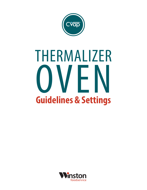

# THERMALIZER OVEN **Guidelines & Settings**

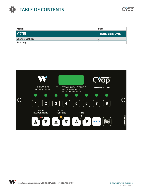

| Model                   | Page                    |
|-------------------------|-------------------------|
| CVap®                   | <b>Thermalizer Oven</b> |
| <b>Channel Settings</b> |                         |
| Roasting                |                         |

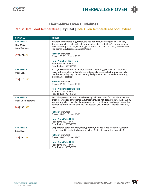### **Thermalizer Oven Guidelines**

### **Moist Heat/Food Temperature | Dry Heat | Total Oven Temperature/Food Texture**

| <b>CHANNEL</b>                                            | <b>MENU</b>                                                                                                                                                                                                                                                                                                                                                                 |  |  |  |  |
|-----------------------------------------------------------|-----------------------------------------------------------------------------------------------------------------------------------------------------------------------------------------------------------------------------------------------------------------------------------------------------------------------------------------------------------------------------|--|--|--|--|
| <b>CHANNEL 1</b><br><b>Slow Moist</b><br>Cook/Retherm     | Wrapped sandwiches (e.g., frozen/thawed hot dogs, hamburgers, chicken, BBQ<br>items (e.g., pulled beef, pork riblets, ground meat), vegetables (i.e., frozen, canned,<br>fresh vacuum-packed bags/chubs), pizza (moist, soft crust no color), and combina-<br>tion dishes (e.g., lasagna/casseroles/eggs).                                                                  |  |  |  |  |
| 200   30   230                                            | <b>Retherm</b> (minutes)<br>Thawed 25-25 Frozen 30-70                                                                                                                                                                                                                                                                                                                       |  |  |  |  |
|                                                           | Hold   Auto Soft Moist Hold<br>Food Temp 150°F (66°C)<br>Food Texture 160°F (71°C)                                                                                                                                                                                                                                                                                          |  |  |  |  |
| <b>CHANNEL 2</b><br>Moist Bake                            | Pizza (moist with some browning), breakfast items (e.g., pancake on stick, french<br>toast, waffles, smiles), grilled cheese, hot pockets, pizza sticks, burritos, egg rolls,<br>hashbrowns, fish patty, chicken patty, grilled proteins, biscuits, and desserts (e.g.,<br>pies/rolls/bar cookies).                                                                         |  |  |  |  |
| 170   120   290                                           | <b>Retherm</b> (minutes)<br>Thawed 14-25 Frozen 18-30                                                                                                                                                                                                                                                                                                                       |  |  |  |  |
|                                                           | Hold   Auto Moist   Bake Hold<br>Food Temp 150°F (66°C)<br>Food Texture 175°F (79°C)                                                                                                                                                                                                                                                                                        |  |  |  |  |
| <b>CHANNEL 3</b><br>Moist Cook/Retherm<br>200   100   300 | Fast bake pizza (moist with some browning), chicken patty, fish patty (whole meat<br>product), wrapped sandwiches (e.g., frozen/thawed hot dogs, burgers, chicken), BBQ<br>items (e.g., pulled pork, ribs), large proteins and combination foods (e.g., casseroles),<br>vegetables (fresh, frozen, canned), and desserts (e.g., individual cookies, rolls, pies,<br>cakes). |  |  |  |  |
|                                                           | <b>Retherm</b> (minutes)<br>Thawed 12-30 Frozen 30-70                                                                                                                                                                                                                                                                                                                       |  |  |  |  |
|                                                           | <b>Hold   Auto Moist Hold</b><br>Food Temp 150°F (66°C)<br>Food Texture 160°F (71°C)                                                                                                                                                                                                                                                                                        |  |  |  |  |
| <b>CHANNEL 4</b><br>Crisp Bake                            | Crisp chicken patty, fish patty, steak, popcorn/breaded foods, french fries, potato<br>products, and items typically cooked in fryer (note: items must be bakeable).                                                                                                                                                                                                        |  |  |  |  |
| 150   200   350                                           | <b>Retherm</b> (minutes)<br>Thawed 12-30 Frozen 12-60                                                                                                                                                                                                                                                                                                                       |  |  |  |  |
|                                                           | <b>Hold   Auto Moist Hold</b><br>Food Temp 140°F (60°C)<br>Food Texture 190°F (88°C)                                                                                                                                                                                                                                                                                        |  |  |  |  |

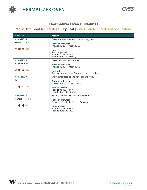

### **Thermalizer Oven Guidelines**

## **Moist Heat/Food Temperature | Dry Heat | Total Oven Temperature/Food Texture**

| <b>CHANNEL</b>   | <b>MENU</b>                                                                                                                                    |  |  |  |  |
|------------------|------------------------------------------------------------------------------------------------------------------------------------------------|--|--|--|--|
| <b>CHANNEL 5</b> | Bake-only fries, tater tots, or extra crispy items.                                                                                            |  |  |  |  |
| Extra Crisp Bake | <b>Retherm</b> (minutes)<br>Thawed 12-30 Frozen 12-60<br><b>Hold</b><br>Auto Crisp Hold<br>Food Temp 130°F (54°C)<br>Food Texture 190°F (88°C) |  |  |  |  |
| 130   220   350  |                                                                                                                                                |  |  |  |  |
| <b>CHANNEL 6</b> | Baked potatoes or casseroles.                                                                                                                  |  |  |  |  |
| Rapid Retherm    | <b>Retherm</b> (minutes)<br>Thawed 15-40 Frozen 30-90                                                                                          |  |  |  |  |
| 200   150   350  | <b>No Hold</b><br>Remove product when Retherm cycle is completed.                                                                              |  |  |  |  |
| <b>CHANNEL 7</b> | Sheet cakes/pastries and general bake cycle.                                                                                                   |  |  |  |  |
| Bake             | <b>Retherm</b> (minutes)<br>Thawed 20-60 Frozen 60-300                                                                                         |  |  |  |  |
| 170   180   350  | <b>Auto Bake Hold</b><br>Food Temp 150°F (66°C)<br>Food Texture 180°F (82°C)                                                                   |  |  |  |  |
| <b>CHANNEL 8</b> | Holding of foods with moist/firm texture.                                                                                                      |  |  |  |  |
| General Holding  | <b>Retherm</b> (minutes)<br>Thawed - Constant Frozen - Constant                                                                                |  |  |  |  |
| 150   30   180   | <b>General Hold</b><br>Food Temp 150°F (66°C)<br>Food Texture 180°F (82°)                                                                      |  |  |  |  |